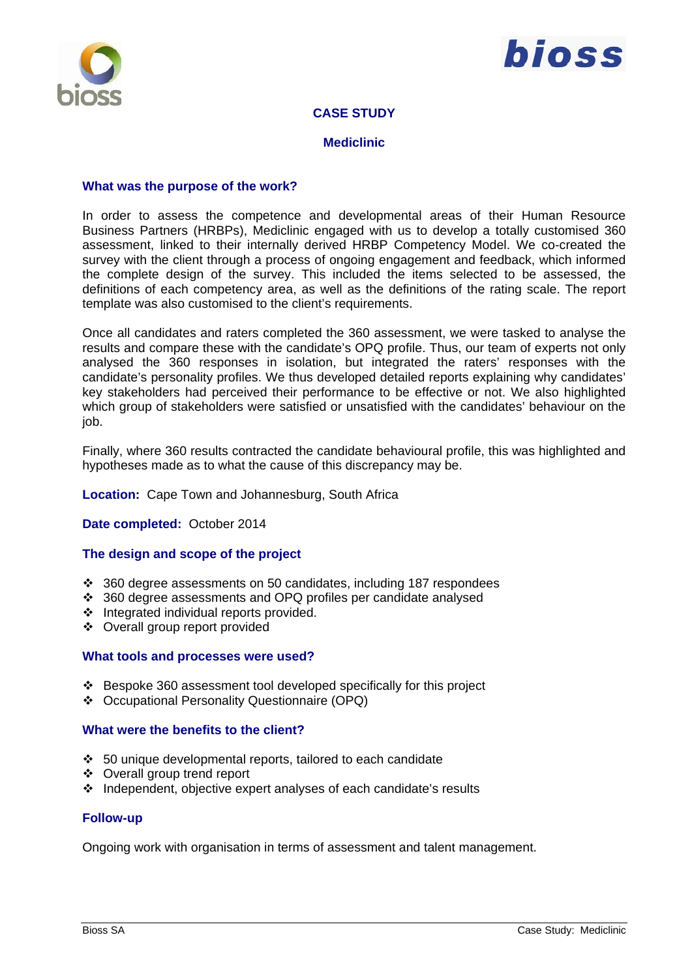

# bioss

### **CASE STUDY**

#### **Mediclinic**

#### **What was the purpose of the work?**

In order to assess the competence and developmental areas of their Human Resource Business Partners (HRBPs), Mediclinic engaged with us to develop a totally customised 360 assessment, linked to their internally derived HRBP Competency Model. We co-created the survey with the client through a process of ongoing engagement and feedback, which informed the complete design of the survey. This included the items selected to be assessed, the definitions of each competency area, as well as the definitions of the rating scale. The report template was also customised to the client's requirements.

Once all candidates and raters completed the 360 assessment, we were tasked to analyse the results and compare these with the candidate's OPQ profile. Thus, our team of experts not only analysed the 360 responses in isolation, but integrated the raters' responses with the candidate's personality profiles. We thus developed detailed reports explaining why candidates' key stakeholders had perceived their performance to be effective or not. We also highlighted which group of stakeholders were satisfied or unsatisfied with the candidates' behaviour on the job.

Finally, where 360 results contracted the candidate behavioural profile, this was highlighted and hypotheses made as to what the cause of this discrepancy may be.

#### **Location:** Cape Town and Johannesburg, South Africa

#### **Date completed:** October 2014

#### **The design and scope of the project**

- 360 degree assessments on 50 candidates, including 187 respondees
- 360 degree assessments and OPQ profiles per candidate analysed
- ❖ Integrated individual reports provided.
- Overall group report provided

#### **What tools and processes were used?**

- Bespoke 360 assessment tool developed specifically for this project
- Occupational Personality Questionnaire (OPQ)

#### **What were the benefits to the client?**

- $\div$  50 unique developmental reports, tailored to each candidate
- Overall group trend report
- $\cdot$  Independent, objective expert analyses of each candidate's results

#### **Follow-up**

Ongoing work with organisation in terms of assessment and talent management.